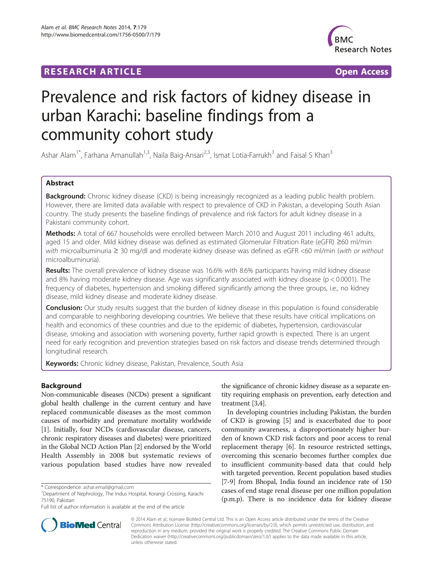# **RESEARCH ARTICLE Example 2018 12:00 Department of the CONNECTION CONNECTION CONNECTION CONNECTION**



# Prevalence and risk factors of kidney disease in urban Karachi: baseline findings from a community cohort study

Ashar Alam<sup>1\*</sup>, Farhana Amanullah<sup>1,3</sup>, Naila Baig-Ansari<sup>2,3</sup>, Ismat Lotia-Farrukh<sup>3</sup> and Faisal S Khan<sup>3</sup>

# Abstract

Background: Chronic kidney disease (CKD) is being increasingly recognized as a leading public health problem. However, there are limited data available with respect to prevalence of CKD in Pakistan, a developing South Asian country. The study presents the baseline findings of prevalence and risk factors for adult kidney disease in a Pakistani community cohort.

Methods: A total of 667 households were enrolled between March 2010 and August 2011 including 461 adults, aged 15 and older. Mild kidney disease was defined as estimated Glomerular Filtration Rate (eGFR) ≥60 ml/min with microalbuminuria ≥ 30 mg/dl and moderate kidney disease was defined as eGFR <60 ml/min (with or without microalbuminuria).

Results: The overall prevalence of kidney disease was 16.6% with 8.6% participants having mild kidney disease and 8% having moderate kidney disease. Age was significantly associated with kidney disease (p < 0.0001). The frequency of diabetes, hypertension and smoking differed significantly among the three groups, i.e., no kidney disease, mild kidney disease and moderate kidney disease.

**Conclusion:** Our study results suggest that the burden of kidney disease in this population is found considerable and comparable to neighboring developing countries. We believe that these results have critical implications on health and economics of these countries and due to the epidemic of diabetes, hypertension, cardiovascular disease, smoking and association with worsening poverty, further rapid growth is expected. There is an urgent need for early recognition and prevention strategies based on risk factors and disease trends determined through longitudinal research.

Keywords: Chronic kidney disease, Pakistan, Prevalence, South Asia

# Background

Non-communicable diseases (NCDs) present a significant global health challenge in the current century and have replaced communicable diseases as the most common causes of morbidity and premature mortality worldwide [[1\]](#page-9-0). Initially, four NCDs (cardiovascular disease, cancers, chronic respiratory diseases and diabetes) were prioritized in the Global NCD Action Plan [[2\]](#page-9-0) endorsed by the World Health Assembly in 2008 but systematic reviews of various population based studies have now revealed

the significance of chronic kidney disease as a separate entity requiring emphasis on prevention, early detection and treatment [[3,4](#page-9-0)].

In developing countries including Pakistan, the burden of CKD is growing [[5\]](#page-9-0) and is exacerbated due to poor community awareness, a disproportionately higher burden of known CKD risk factors and poor access to renal replacement therapy [[6\]](#page-9-0). In resource restricted settings, overcoming this scenario becomes further complex due to insufficient community-based data that could help with targeted prevention. Recent population based studies [[7-9](#page-9-0)] from Bhopal, India found an incidence rate of 150 cases of end stage renal disease per one million population (p.m.p). There is no incidence data for kidney disease



© 2014 Alam et al.; licensee BioMed Central Ltd. This is an Open Access article distributed under the terms of the Creative Commons Attribution License [\(http://creativecommons.org/licenses/by/2.0\)](http://creativecommons.org/licenses/by/2.0), which permits unrestricted use, distribution, and reproduction in any medium, provided the original work is properly credited. The Creative Commons Public Domain Dedication waiver [\(http://creativecommons.org/publicdomain/zero/1.0/](http://creativecommons.org/publicdomain/zero/1.0/)) applies to the data made available in this article, unless otherwise stated.

<sup>\*</sup> Correspondence: [ashar.email@gmail.com](mailto:ashar.email@gmail.com) <sup>1</sup>

<sup>&</sup>lt;sup>1</sup>Department of Nephrology, The Indus Hospital, Korangi Crossing, Karachi 75190, Pakistan

Full list of author information is available at the end of the article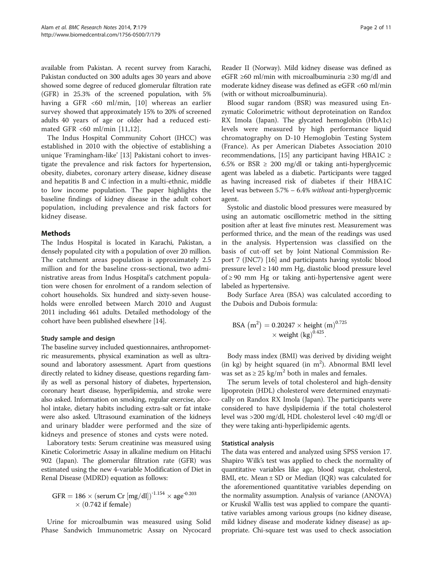available from Pakistan. A recent survey from Karachi, Pakistan conducted on 300 adults ages 30 years and above showed some degree of reduced glomerular filtration rate (GFR) in 25.3% of the screened population, with 5% having a GFR <60 ml/min, [\[10](#page-9-0)] whereas an earlier survey showed that approximately 15% to 20% of screened adults 40 years of age or older had a reduced estimated GFR <60 ml/min [[11,12\]](#page-9-0).

The Indus Hospital Community Cohort (IHCC) was established in 2010 with the objective of establishing a unique 'Framingham-like' [\[13](#page-9-0)] Pakistani cohort to investigate the prevalence and risk factors for hypertension, obesity, diabetes, coronary artery disease, kidney disease and hepatitis B and C infection in a multi-ethnic, middle to low income population. The paper highlights the baseline findings of kidney disease in the adult cohort population, including prevalence and risk factors for kidney disease.

# **Mathods**

The Indus Hospital is located in Karachi, Pakistan, a densely populated city with a population of over 20 million. The catchment areas population is approximately 2.5 million and for the baseline cross-sectional, two administrative areas from Indus Hospital's catchment population were chosen for enrolment of a random selection of cohort households. Six hundred and sixty-seven households were enrolled between March 2010 and August 2011 including 461 adults. Detailed methodology of the cohort have been published elsewhere [\[14\]](#page-9-0).

# Study sample and design

The baseline survey included questionnaires, anthropometric measurements, physical examination as well as ultrasound and laboratory assessment. Apart from questions directly related to kidney disease, questions regarding family as well as personal history of diabetes, hypertension, coronary heart disease, hyperlipidemia, and stroke were also asked. Information on smoking, regular exercise, alcohol intake, dietary habits including extra-salt or fat intake were also asked. Ultrasound examination of the kidneys and urinary bladder were performed and the size of kidneys and presence of stones and cysts were noted.

Laboratory tests: Serum creatinine was measured using Kinetic Colorimetric Assay in alkaline medium on Hitachi 902 (Japan). The glomerular filtration rate (GFR) was estimated using the new 4-variable Modification of Diet in Renal Disease (MDRD) equation as follows:

$$
GFR = 186 \times (serum Cr [mg/dl])^{-1.154} \times age^{-0.203}
$$
  
× (0.742 if female)

Urine for microalbumin was measured using Solid Phase Sandwich Immunometric Assay on Nycocard Reader II (Norway). Mild kidney disease was defined as eGFR ≥60 ml/min with microalbuminuria ≥30 mg/dl and moderate kidney disease was defined as eGFR <60 ml/min (with or without microalbuminuria).

Blood sugar random (BSR) was measured using Enzymatic Colorimetric without deproteination on Randox RX Imola (Japan). The glycated hemoglobin (HbA1c) levels were measured by high performance liquid chromatography on D-10 Hemoglobin Testing System (France). As per American Diabetes Association 2010 recommendations, [\[15\]](#page-9-0) any participant having HBA1C  $\geq$ 6.5% or BSR  $\geq$  200 mg/dl or taking anti-hyperglycemic agent was labeled as a diabetic. Participants were tagged as having increased risk of diabetes if their HBA1C level was between 5.7% – 6.4% without anti-hyperglycemic agent.

Systolic and diastolic blood pressures were measured by using an automatic oscillometric method in the sitting position after at least five minutes rest. Measurement was performed thrice, and the mean of the readings was used in the analysis. Hypertension was classified on the basis of cut-off set by Joint National Commission Report 7 (JNC7) [[16](#page-9-0)] and participants having systolic blood pressure level ≥ 140 mm Hg, diastolic blood pressure level of ≥ 90 mm Hg or taking anti-hypertensive agent were labeled as hypertensive.

Body Surface Area (BSA) was calculated according to the Dubois and Dubois formula:

BSA m<sup>2</sup> <sup>¼</sup> <sup>0</sup>:<sup>20247</sup> height mð Þ<sup>0</sup>:<sup>725</sup> weight kg ð Þ<sup>0</sup>:<sup>425</sup>:

Body mass index (BMI) was derived by dividing weight (in kg) by height squared (in  $m^2$ ). Abnormal BMI level was set as  $\geq 25$  kg/m<sup>2</sup> both in males and females.

The serum levels of total cholesterol and high-density lipoprotein (HDL) cholesterol were determined enzymatically on Randox RX Imola (Japan). The participants were considered to have dyslipidemia if the total cholesterol level was >200 mg/dl, HDL cholesterol level <40 mg/dl or they were taking anti-hyperlipidemic agents.

# Statistical analysis

The data was entered and analyzed using SPSS version 17. Shapiro Wilk's test was applied to check the normality of quantitative variables like age, blood sugar, cholesterol, BMI, etc. Mean  $\pm$  SD or Median (IQR) was calculated for the aforementioned quantitative variables depending on the normality assumption. Analysis of variance (ANOVA) or Kruskil Wallis test was applied to compare the quantitative variables among various groups (no kidney disease, mild kidney disease and moderate kidney disease) as appropriate. Chi-square test was used to check association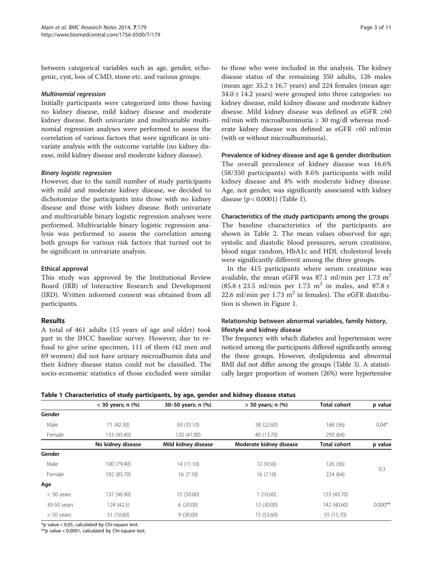between categorical variables such as age, gender, echogenic, cyst, loss of CMD, stone etc. and various groups.

Initially participants were categorized into those having no kidney disease, mild kidney disease and moderate kidney disease. Both univariate and multivariable multinomial regression analyses were performed to assess the correlation of various factors that were significant in univariate analysis with the outcome variable (no kidney disease, mild kidney disease and moderate kidney disease).

However, due to the samll number of study participants with mild and moderate kidney disease, we decided to dichotomize the participants into those with no kidney disease and those with kidney disease. Both univariate and multivariable binary logistic regression analyses were performed. Multivariable binary logistic regression analysis was performed to assess the correlation among both groups for various risk factors that turned out to be significant in univariate analysis.

# Ethical approval

This study was approved by the Institutional Review Board (IRB) of Interactive Research and Development (IRD). Written informed consent was obtained from all participants.

# Results

A total of 461 adults (15 years of age and older) took part in the IHCC baseline survey. However, due to refusal to give urine specimen, 111 of them (42 men and 69 women) did not have urinary microalbumin data and their kidney disease status could not be classified. The socio-economic statistics of those excluded were similar

to those who were included in the analysis. The kidney disease status of the remaining 350 adults, 126 males (mean age:  $35.2 \pm 16.7$  years) and 224 females (mean age:  $34.0 \pm 14.2$  years) were grouped into three categories: no kidney disease, mild kidney disease and moderate kidney disease. Mild kidney disease was defined as eGFR ≥60 ml/min with microalbuminuria  $\geq 30$  mg/dl whereas moderate kidney disease was defined as eGFR <60 ml/min (with or without microalbuminuria).

Prevalence of kidney disease and age & gender distribution The overall prevalence of kidney disease was 16.6% (58/350 participants) with 8.6% participants with mild kidney disease and 8% with moderate kidney disease. Age, not gender, was significantly associated with kidney disease (p < 0.0001) (Table 1).

Characteristics of the study participants among the groups The baseline characteristics of the participants are shown in Table [2](#page-3-0). The mean values observed for age, systolic and diastolic blood pressures, serum creatinine, blood sugar random, HbA1c and HDL cholesterol levels were significantly different among the three groups.

In the 415 participants where serum creatinine was available, the mean eGFR was 87.1 ml/min per 1.73  $m<sup>2</sup>$  $(85.8 \pm 23.5 \text{ ml/min per } 1.73 \text{ m}^2 \text{ in males, and } 87.8 \pm 1.73 \text{ ml}^2 \text{ in males.}$ 22.6 ml/min per  $1.73 \text{ m}^2$  in females). The eGFR distribution is shown in Figure [1](#page-3-0).

# Relationship between abnormal variables, family history, lifestyle and kidney disease

The frequency with which diabetes and hypertension were noticed among the participants differed significantly among the three groups. However, dyslipidemia and abnormal BMI did not differ among the groups (Table [3](#page-4-0)). A statistically larger proportion of women (26%) were hypertensive

|  |  | Table 1 Characteristics of study participants, by age, gender and kidney disease status |  |  |  |
|--|--|-----------------------------------------------------------------------------------------|--|--|--|
|--|--|-----------------------------------------------------------------------------------------|--|--|--|

|              | . .                    |                     |                         |                     |           |
|--------------|------------------------|---------------------|-------------------------|---------------------|-----------|
|              | $<$ 30 years; n $(\%)$ | 30-50 years; n (%)  | $> 50$ years; n $(\%)$  | <b>Total cohort</b> | p value   |
| Gender       |                        |                     |                         |                     |           |
| Male         | 71 (42.30)             | 59 (35.10)          | 38 (22.60)              | 168 (36)            | $0.04*$   |
| Female       | 133 (45.40)            | 120 (41.00)         | 40 (13.70)              | 293 (64)            |           |
|              | No kidney disease      | Mild kidney disease | Moderate kidney disease | <b>Total cohort</b> | p value   |
| Gender       |                        |                     |                         |                     |           |
| Male         | 100 (79.40)            | 14(11.10)           | 12 (9.50)               | 126 (36)            |           |
| Female       | 192 (85.70)            | 16(7.10)            | 16(7.10)                | 224 (64)            | 0.3       |
| Age          |                        |                     |                         |                     |           |
| $<$ 30 years | 137 (46.90)            | 15 (50.00)          | 1(10.60)                | 153 (43.70)         |           |
| 30-50 years  | 124 (42.5)             | 6(20.00)            | 12 (30.00)              | 142 (40.60)         | $0.000**$ |
| $> 50$ years | 31 (10.60)             | 9(30.00)            | 15 (53.60)              | 55 (15.70)          |           |

\*p value < 0.05, calculated by Chi-square test.

\*\*p value < 0.0001, calculated by Chi-square test.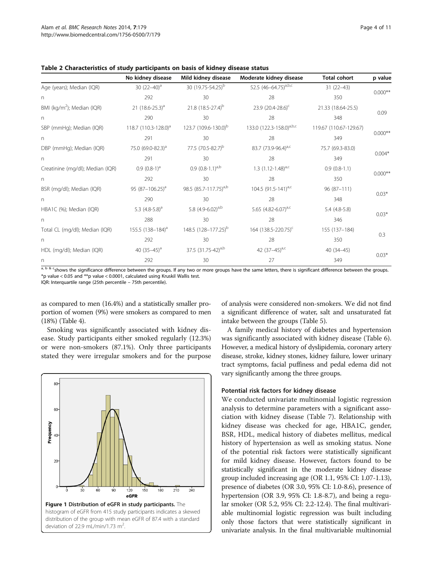|                                        | No kidney disease                | Mild kidney disease               | Moderate kidney disease              | <b>Total cohort</b>    | p value   |
|----------------------------------------|----------------------------------|-----------------------------------|--------------------------------------|------------------------|-----------|
| Age (years); Median (IQR)              | 30 $(22-40)^a$                   | 30 (19.75-54.25) <sup>b</sup>     | 52.5 (46-64.75) <sup>a,b,c</sup>     | $31(22-43)$            | $0.000**$ |
| n                                      | 292                              | 30                                | 28                                   | 350                    |           |
| BMI (kg/m <sup>2</sup> ); Median (IQR) | 21 $(18.6 - 25.3)^a$             | 21.8 $(18.5 - 27.4)^{b}$          | 23.9 (20.4-28.6) <sup>c</sup>        | 21.33 (18.64-25.5)     | 0.09      |
| n                                      | 290                              | 30                                | 28                                   | 348                    |           |
| SBP (mmHg); Median (IQR)               | 118.7 (110.3-128.0) <sup>a</sup> | 123.7 (109.6-130.0) <sup>b</sup>  | 133.0 (122.3-158.0) <sup>a,b,c</sup> | 119.67 (110.67-129.67) | $0.000**$ |
| n                                      | 291                              | 30                                | 28                                   | 349                    |           |
| DBP (mmHg); Median (IQR)               | 75.0 (69.0-82.3) <sup>a</sup>    | 77.5 (70.5-82.7) <sup>b</sup>     | 83.7 (73.9-96.4) <sup>a,c</sup>      | 75.7 (69.3-83.0)       | $0.004*$  |
| n                                      | 291                              | 30                                | 28                                   | 349                    |           |
| Creatinine (mg/dl); Median (IQR)       | $0.9(0.8-1)^a$                   | $0.9$ $(0.8-1.1)^{a,b}$           | 1.3 $(1.12 - 1.48)^{a,c}$            | $0.9(0.8-1.1)$         | $0.000**$ |
| n                                      | 292                              | 30                                | 28                                   | 350                    |           |
| BSR (mg/dl); Median (IQR)              | 95 $(87-106.25)^a$               | 98.5 (85.7-117.75) <sup>a,b</sup> | 104.5 $(91.5 - 141)^{a,c}$           | $96(87 - 111)$         | $0.03*$   |
| n                                      | 290                              | 30                                | 28                                   | 348                    |           |
| HBA1C (%); Median (IQR)                | 5.3 $(4.8-5.8)^a$                | 5.8 $(4.9-6.02)^{a,b}$            | 5.65 $(4.82 - 6.07)^{a,c}$           | $5.4(4.8-5.8)$         | $0.03*$   |
| n                                      | 288                              | 30                                | 28                                   | 346                    |           |
| Total CL (mg/dl); Median (IQR)         | $155.5(138-184)^a$               | 148.5 (128-177.25) <sup>b</sup>   | 164 (138.5-220.75) <sup>c</sup>      | 155 (137-184)          | 0.3       |
| n                                      | 292                              | 30                                | 28                                   | 350                    |           |
| HDL (mg/dl); Median (IQR)              | 40 $(35-45)^a$                   | 37.5 (31.75-42) <sup>a,b</sup>    | 42 $(37-45)^{a,c}$                   | $40(34-45)$            | $0.03*$   |
| n                                      | 292                              | 30                                | 27                                   | 349                    |           |

<span id="page-3-0"></span>Table 2 Characteristics of study participants on basis of kidney disease status

a, b & cshows the significance difference between the groups. If any two or more groups have the same letters, there is significant difference between the groups. \*p value < 0.05 and \*\*p value < 0.0001, calculated using Kruskil Wallis test. IQR: Interquartile range (25th percentile – 75th percentile).

as compared to men (16.4%) and a statistically smaller proportion of women (9%) were smokers as compared to men (18%) (Table [4\)](#page-4-0).

Smoking was significantly associated with kidney disease. Study participants either smoked regularly (12.3%) or were non-smokers (87.1%). Only three participants stated they were irregular smokers and for the purpose



of analysis were considered non-smokers. We did not find a significant difference of water, salt and unsaturated fat intake between the groups (Table [5](#page-5-0)).

A family medical history of diabetes and hypertension was significantly associated with kidney disease (Table [6](#page-5-0)). However, a medical history of dyslipidemia, coronary artery disease, stroke, kidney stones, kidney failure, lower urinary tract symptoms, facial puffiness and pedal edema did not vary significantly among the three groups.

#### Potential risk factors for kidney disease

We conducted univariate multinomial logistic regression analysis to determine parameters with a significant association with kidney disease (Table [7\)](#page-6-0). Relationship with kidney disease was checked for age, HBA1C, gender, BSR, HDL, medical history of diabetes mellitus, medical history of hypertension as well as smoking status. None of the potential risk factors were statistically significant for mild kidney disease. However, factors found to be statistically significant in the moderate kidney disease group included increasing age (OR 1.1, 95% CI: 1.07-1.13), presence of diabetes (OR 3.0, 95% CI: 1.0-8.6), presence of hypertension (OR 3.9, 95% CI: 1.8-8.7), and being a regular smoker (OR 5.2, 95% CI: 2.2-12.4). The final multivariable multinomial logistic regression was built including only those factors that were statistically significant in univariate analysis. In the final multivariable multinomial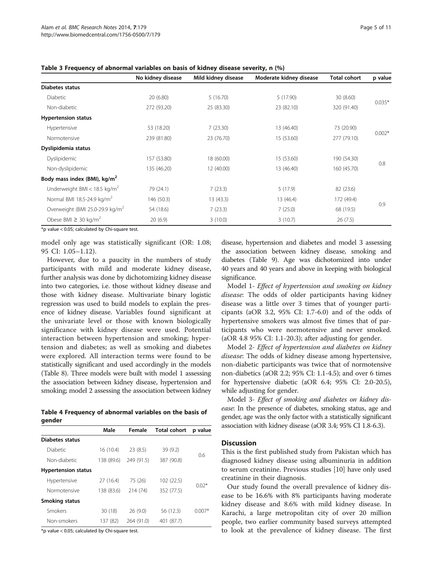|                                             | No kidney disease | Mild kidney disease | Moderate kidney disease | <b>Total cohort</b> | p value  |
|---------------------------------------------|-------------------|---------------------|-------------------------|---------------------|----------|
| <b>Diabetes status</b>                      |                   |                     |                         |                     |          |
| Diabetic                                    | 20 (6.80)         | 5(16.70)            | 5(17.90)                | 30 (8.60)           | $0.035*$ |
| Non-diabetic                                | 272 (93.20)       | 25 (83.30)          | 23 (82.10)              | 320 (91.40)         |          |
| <b>Hypertension status</b>                  |                   |                     |                         |                     |          |
| Hypertensive                                | 53 (18.20)        | 7(23.30)            | 13 (46.40)              | 73 (20.90)          |          |
| Normotensive                                | 239 (81.80)       | 23 (76.70)          | 15 (53.60)              | 277 (79.10)         | $0.002*$ |
| Dyslipidemia status                         |                   |                     |                         |                     |          |
| Dyslipidemic                                | 157 (53.80)       | 18 (60.00)          | 15 (53.60)              | 190 (54.30)         |          |
| Non-dyslipidemic                            | 135 (46.20)       | 12 (40.00)          | 13 (46.40)              | 160 (45.70)         | 0.8      |
| Body mass index (BMI), kg/m <sup>2</sup>    |                   |                     |                         |                     |          |
| Underweight BMI < 18.5 kg/m <sup>2</sup>    | 79 (24.1)         | 7(23.3)             | 5(17.9)                 | 82 (23.6)           |          |
| Normal BMI 18.5-24.9 kg/m <sup>2</sup>      | 146 (50.3)        | 13 (43.3)           | 13 (46.4)               | 172 (49.4)          |          |
| Overweight (BMI 25.0-29.9 kg/m <sup>2</sup> | 54 (18.6)         | 7(23.3)             | 7(25.0)                 | 68 (19.5)           | 0.9      |
| Obese BMI $\geq$ 30 kg/m <sup>2</sup>       | 20(6.9)           | 3(10.0)             | 3(10.7)                 | 26(7.5)             |          |

<span id="page-4-0"></span>Table 3 Frequency of abnormal variables on basis of kidney disease severity, n (%)

\*p value < 0.05; calculated by Chi-square test.

model only age was statistically significant (OR: 1.08; 95 CI: 1.05–1.12).

However, due to a paucity in the numbers of study participants with mild and moderate kidney disease, further analysis was done by dichotomizing kidney disease into two categories, i.e. those without kidney disease and those with kidney disease. Multivariate binary logistic regression was used to build models to explain the presence of kidney disease. Variables found significant at the univariate level or those with known biologically significance with kidney disease were used. Potential interaction between hypertension and smoking; hypertension and diabetes; as well as smoking and diabetes were explored. All interaction terms were found to be statistically significant and used accordingly in the models (Table [8](#page-7-0)). Three models were built with model 1 assessing the association between kidney disease, hypertension and smoking; model 2 assessing the association between kidney

Table 4 Frequency of abnormal variables on the basis of gender

| Male       | Female     | <b>Total cohort</b> | p value  |
|------------|------------|---------------------|----------|
|            |            |                     |          |
| 16 (10.4)  | 23(8.5)    | 39 (9.2)            |          |
| 138 (89.6) | 249 (91.5) | 387 (90.8)          | 0.6      |
|            |            |                     |          |
| 27 (16.4)  | 75 (26)    | 102 (22.5)          |          |
| 138 (83.6) | 214 (74)   | 352 (77.5)          | $0.02*$  |
|            |            |                     |          |
| 30 (18)    | 26(9.0)    | 56 (12.3)           | $0.007*$ |
| 137 (82)   | 264 (91.0) | 401 (87.7)          |          |
|            |            |                     |          |

\*p value < 0.05; calculated by Chi-square test.

disease, hypertension and diabetes and model 3 assessing the association between kidney disease, smoking and diabetes (Table [9\)](#page-7-0). Age was dichotomized into under 40 years and 40 years and above in keeping with biological significance.

Model 1- Effect of hypertension and smoking on kidney disease: The odds of older participants having kidney disease was a little over 3 times that of younger participants (aOR 3.2, 95% CI: 1.7-6.0) and of the odds of hypertensive smokers was almost five times that of participants who were normotensive and never smoked. (aOR 4.8 95% CI: 1.1-20.3); after adjusting for gender.

Model 2- Effect of hypertension and diabetes on kidney disease: The odds of kidney disease among hypertensive, non-diabetic participants was twice that of normotensive non-diabetics (aOR 2.2; 95% CI: 1.1-4.5); and over 6 times for hypertensive diabetic (aOR 6.4; 95% CI: 2.0-20.5), while adjusting for gender.

Model 3- Effect of smoking and diabetes on kidney disease: In the presence of diabetes, smoking status, age and gender, age was the only factor with a statistically significant association with kidney disease (aOR 3.4; 95% CI 1.8-6.3).

#### **Discussion**

This is the first published study from Pakistan which has diagnosed kidney disease using albuminuria in addition to serum creatinine. Previous studies [\[10\]](#page-9-0) have only used creatinine in their diagnosis.

Our study found the overall prevalence of kidney disease to be 16.6% with 8% participants having moderate kidney disease and 8.6% with mild kidney disease. In Karachi, a large metropolitan city of over 20 million people, two earlier community based surveys attempted to look at the prevalence of kidney disease. The first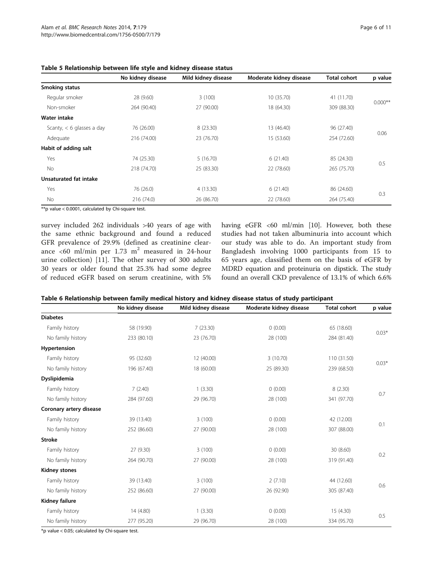|                             | No kidney disease | Mild kidney disease | Moderate kidney disease | <b>Total cohort</b> | p value   |
|-----------------------------|-------------------|---------------------|-------------------------|---------------------|-----------|
| <b>Smoking status</b>       |                   |                     |                         |                     |           |
| Regular smoker              | 28 (9.60)         | 3(100)              | 10 (35.70)              | 41 (11.70)          | $0.000**$ |
| Non-smoker                  | 264 (90.40)       | 27 (90.00)          | 18 (64.30)              | 309 (88.30)         |           |
| Water intake                |                   |                     |                         |                     |           |
| Scanty, $<$ 6 glasses a day | 76 (26.00)        | 8(23.30)            | 13 (46.40)              | 96 (27.40)          |           |
| Adequate                    | 216 (74.00)       | 23 (76.70)          | 15 (53.60)              | 254 (72.60)         | 0.06      |
| Habit of adding salt        |                   |                     |                         |                     |           |
| Yes                         | 74 (25.30)        | 5(16.70)            | 6(21.40)                | 85 (24.30)          |           |
| No.                         | 218 (74.70)       | 25 (83.30)          | 22 (78.60)              | 265 (75.70)         | 0.5       |
| Unsaturated fat intake      |                   |                     |                         |                     |           |
| Yes                         | 76 (26.0)         | 4(13.30)            | 6(21.40)                | 86 (24.60)          |           |
| No                          | 216 (74.0)        | 26 (86.70)          | 22 (78.60)              | 264 (75.40)         | 0.3       |

<span id="page-5-0"></span>

\*\*p value < 0.0001, calculated by Chi-square test.

survey included 262 individuals >40 years of age with the same ethnic background and found a reduced GFR prevalence of 29.9% (defined as creatinine clearance <60 ml/min per 1.73 m<sup>2</sup> measured in 24-hour urine collection) [[11\]](#page-9-0). The other survey of 300 adults 30 years or older found that 25.3% had some degree of reduced eGFR based on serum creatinine, with 5% having eGFR <60 ml/min [[10](#page-9-0)]. However, both these studies had not taken albuminuria into account which our study was able to do. An important study from Bangladesh involving 1000 participants from 15 to 65 years age, classified them on the basis of eGFR by MDRD equation and proteinuria on dipstick. The study found an overall CKD prevalence of 13.1% of which 6.6%

|  | Table 6 Relationship between family medical history and kidney disease status of study participant |  |  |  |  |  |  |
|--|----------------------------------------------------------------------------------------------------|--|--|--|--|--|--|
|--|----------------------------------------------------------------------------------------------------|--|--|--|--|--|--|

|                         | No kidney disease | Mild kidney disease | Moderate kidney disease | <b>Total cohort</b> | p value |
|-------------------------|-------------------|---------------------|-------------------------|---------------------|---------|
| <b>Diabetes</b>         |                   |                     |                         |                     |         |
| Family history          | 58 (19.90)        | 7(23.30)            | 0(0.00)                 | 65 (18.60)          |         |
| No family history       | 233 (80.10)       | 23 (76.70)          | 28 (100)                | 284 (81.40)         | $0.03*$ |
| Hypertension            |                   |                     |                         |                     |         |
| Family history          | 95 (32.60)        | 12 (40.00)          | 3(10.70)                | 110 (31.50)         |         |
| No family history       | 196 (67.40)       | 18 (60.00)          | 25 (89.30)              | 239 (68.50)         | $0.03*$ |
| Dyslipidemia            |                   |                     |                         |                     |         |
| Family history          | 7(2.40)           | 1(3.30)             | 0(0.00)                 | 8(2.30)             |         |
| No family history       | 284 (97.60)       | 29 (96.70)          | 28 (100)                | 341 (97.70)         | 0.7     |
| Coronary artery disease |                   |                     |                         |                     |         |
| Family history          | 39 (13.40)        | 3(100)              | 0(0.00)                 | 42 (12.00)          |         |
| No family history       | 252 (86.60)       | 27 (90.00)          | 28 (100)                | 307 (88.00)         | 0.1     |
| <b>Stroke</b>           |                   |                     |                         |                     |         |
| Family history          | 27 (9.30)         | 3(100)              | 0(0.00)                 | 30 (8.60)           |         |
| No family history       | 264 (90.70)       | 27 (90.00)          | 28 (100)                | 319 (91.40)         | 0.2     |
| Kidney stones           |                   |                     |                         |                     |         |
| Family history          | 39 (13.40)        | 3(100)              | 2(7.10)                 | 44 (12.60)          |         |
| No family history       | 252 (86.60)       | 27 (90.00)          | 26 (92.90)              | 305 (87.40)         | 0.6     |
| <b>Kidney failure</b>   |                   |                     |                         |                     |         |
| Family history          | 14 (4.80)         | 1(3.30)             | 0(0.00)                 | 15 (4.30)           |         |
| No family history       | 277 (95.20)       | 29 (96.70)          | 28 (100)                | 334 (95.70)         | 0.5     |

\*p value < 0.05; calculated by Chi-square test.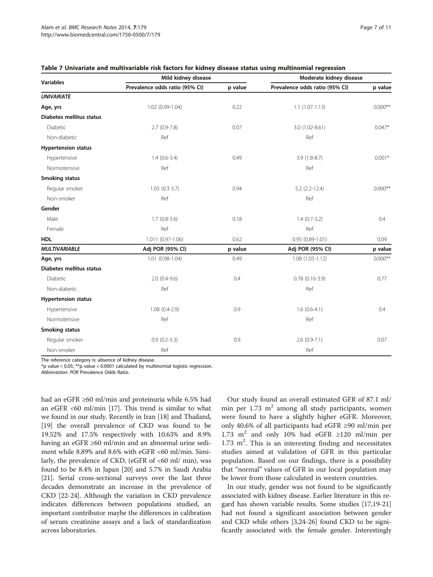|                                 | Mild kidney disease            |         | Moderate kidney disease        |           |  |
|---------------------------------|--------------------------------|---------|--------------------------------|-----------|--|
| <b>Variables</b>                | Prevalence odds ratio (95% CI) | p value | Prevalence odds ratio (95% CI) | p value   |  |
| <b>UNIVARIATE</b>               |                                |         |                                |           |  |
| Age, yrs                        | 1.02 (0.99-1.04)               | 0.22    | $1.1(1.07-1.13)$               | $0.000**$ |  |
| <b>Diabetes mellitus status</b> |                                |         |                                |           |  |
| Diabetic                        | $2.7(0.9-7.8)$                 | 0.07    | 3.0 (1.02-8.61)                | $0.047*$  |  |
| Non-diabetic                    | Ref                            |         | Ref                            |           |  |
| <b>Hypertension status</b>      |                                |         |                                |           |  |
| Hypertensive                    | $1.4(0.6-3.4)$                 | 0.49    | $3.9(1.8-8.7)$                 | $0.001*$  |  |
| Normotensive                    | Ref                            |         | Ref                            |           |  |
| <b>Smoking status</b>           |                                |         |                                |           |  |
| Regular smoker                  | $1.05(0.3-3.7)$                | 0.94    | $5.2$ (2.2-12.4)               | $0.000**$ |  |
| Non-smoker                      | Ref                            |         | Ref                            |           |  |
| Gender                          |                                |         |                                |           |  |
| Male                            | $1.7(0.8-3.6)$                 | 0.18    | $1.4(0.7-3.2)$                 | 0.4       |  |
| Female                          | Ref                            |         | Ref                            |           |  |
| <b>HDL</b>                      | 1.011 (0.97-1.06)              | 0.62    | $0.95(0.89 - 1.01)$            | 0.09      |  |
| <b>MULTIVARIABLE</b>            | Adj POR (95% CI)               | p value | Adj POR (95% CI)               | p value   |  |
| Age, yrs                        | 1.01 (0.98-1.04)               | 0.49    | $1.08(1.05-1.12)$              | $0.000**$ |  |
| Diabetes mellitus status        |                                |         |                                |           |  |
| Diabetic                        | $2.0(0.4-9.6)$                 | 0.4     | $0.78$ $(0.16-3.9)$            | 0.77      |  |
| Non-diabetic                    | Ref                            |         | Ref                            |           |  |
| <b>Hypertension status</b>      |                                |         |                                |           |  |
| Hypertensive                    | 1.08 (0.4-2.9)                 | 0.9     | $1.6(0.6-4.1)$                 | 0.4       |  |
| Normotensive                    | Ref                            |         | Ref                            |           |  |
| <b>Smoking status</b>           |                                |         |                                |           |  |
| Regular smoker                  | $0.9(0.2-3.3)$                 | 0.9     | $2.6(0.9-7.1)$                 | 0.07      |  |
| Non-smoker                      | Ref                            |         | Ref                            |           |  |

<span id="page-6-0"></span>

| Table 7 Univariate and multivariable risk factors for kidney disease status using multinomial regression |  |  |  |  |
|----------------------------------------------------------------------------------------------------------|--|--|--|--|
|                                                                                                          |  |  |  |  |

The reference category is: absence of kidney disease.

\*p value < 0.05; \*\*p value < 0.0001 calculated by multinomial logistic regression.

Abbreviation: POR Prevalence Odds Ratio.

had an eGFR ≥60 ml/min and proteinuria while 6.5% had an eGFR <60 ml/min [\[17\]](#page-9-0). This trend is similar to what we found in our study. Recently in Iran [[18](#page-9-0)] and Thailand, [[19](#page-9-0)] the overall prevalence of CKD was found to be 19.52% and 17.5% respectively with 10.63% and 8.9% having an eGFR ≥60 ml/min and an abnormal urine sediment while 8.89% and 8.6% with eGFR <60 ml/min. Similarly, the prevalence of CKD, (eGFR of  $<60$  ml/ min), was found to be 8.4% in Japan [\[20\]](#page-9-0) and 5.7% in Saudi Arabia [[21](#page-9-0)]. Serial cross-sectional surveys over the last three decades demonstrate an increase in the prevalence of CKD [[22](#page-9-0)-[24](#page-9-0)]. Although the variation in CKD prevalence indicates differences between populations studied, an important contributor maybe the differences in calibration of serum creatinine assays and a lack of standardization across laboratories.

Our study found an overall estimated GFR of 87.1 ml/ min per  $1.73 \text{ m}^2$  among all study participants, women were found to have a slightly higher eGFR. Moreover, only 40.6% of all participants had eGFR ≥90 ml/min per 1.73  $m^2$  and only 10% had eGFR ≥120 ml/min per  $1.73$  m<sup>2</sup>. This is an interesting finding and necessitates studies aimed at validation of GFR in this particular population. Based on our findings, there is a possibility that "normal" values of GFR in our local population may be lower from those calculated in western countries.

In our study, gender was not found to be significantly associated with kidney disease. Earlier literature in this regard has shown variable results. Some studies [\[17,19](#page-9-0)-[21](#page-9-0)] had not found a significant association between gender and CKD while others [[3,24](#page-9-0)-[26\]](#page-9-0) found CKD to be significantly associated with the female gender. Interestingly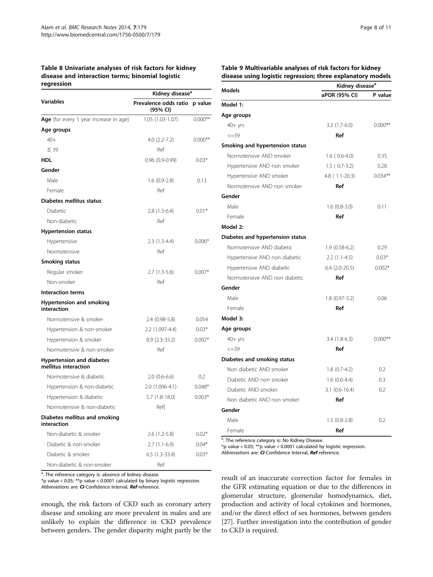#### <span id="page-7-0"></span>Table 8 Univariate analyses of risk factors for kidney disease and interaction terms; binomial logistic regression

|                                                          | Kidney disease <sup>a</sup>       |           |  |
|----------------------------------------------------------|-----------------------------------|-----------|--|
| <b>Variables</b>                                         | Prevalence odds ratio<br>(95% CI) | p value   |  |
| <b>Age</b> (for every 1 year increase in age)            | 1.05 (1.03-1.07)                  | $0.000**$ |  |
| Age groups                                               |                                   |           |  |
| $40+$                                                    | $4.0(2.2 - 7.2)$                  | $0.000**$ |  |
| $\leq 39$                                                | Ref                               |           |  |
| HDL                                                      | $0.96(0.9-0.99)$                  | $0.03*$   |  |
| Gender                                                   |                                   |           |  |
| Male                                                     | $1.6(0.9-2.8)$                    | 0.13      |  |
| Female                                                   | Ref                               |           |  |
| Diabetes mellitus status                                 |                                   |           |  |
| Diabetic                                                 | $2.8(1.3-6.4)$                    | $0.01*$   |  |
| Non-diabetic                                             | Ref                               |           |  |
| <b>Hypertension status</b>                               |                                   |           |  |
| Hypertensive                                             | $2.3(1.3-4.4)$                    | $0.006*$  |  |
| Normotensive                                             | Ref                               |           |  |
| <b>Smoking status</b>                                    |                                   |           |  |
| Regular smoker                                           | $2.7(1.3-5.6)$                    | $0.007*$  |  |
| Non-smoker                                               | Ref                               |           |  |
| <b>Interaction terms</b>                                 |                                   |           |  |
| <b>Hypertension and smoking</b><br>interaction           |                                   |           |  |
| Normotensive & smoker                                    | 2.4 (0.98-5.8)                    | 0.054     |  |
| Hypertension & non-smoker                                | 2.2 (1.097-4.4)                   | $0.03*$   |  |
| Hypertension & smoker                                    | 8.9 (2.3-35.2)                    | $0.002*$  |  |
| Normotensive & non-smoker                                | Ref                               |           |  |
| <b>Hypertension and diabetes</b><br>mellitus interaction |                                   |           |  |
| Normotensive & diabetic                                  | $2.0(0.6-6.6)$                    | 0.2       |  |
| Hypertension & non-diabetic                              | $2.0(1.006-4.1)$                  | $0.048*$  |  |
| Hypertension & diabetic                                  | $5.7(1.8-18.0)$                   | $0.003*$  |  |
| Normotensive & non-diabetic                              | Ref                               |           |  |
| Diabetes mellitus and smoking<br>interaction             |                                   |           |  |
| Non-diabetic & smoker                                    | $2.6(1.2-5.8)$                    | $0.02*$   |  |
| Diabetic & non-smoker                                    | $2.7(1.1-6.9)$                    | $0.04*$   |  |
| Diabetic & smoker                                        | $6.5(1.3-33.4)$                   | $0.03*$   |  |
| Non-diabetic & non-smoker                                | Ref                               |           |  |

<sup>a</sup>. The reference category is: absence of kidney disease.

\*p value < 0.05; \*\*p value < 0.0001 calculated by binary logistic regression. Abbreviations are: CI-Confidence Interval, Ref-reference.

enough, the risk factors of CKD such as coronary artery disease and smoking are more prevalent in males and are unlikely to explain the difference in CKD prevalence between genders. The gender disparity might partly be the

# Table 9 Multivariable analyses of risk factors for kidney disease using logistic regression; three explanatory models

| <b>Models</b>                    | Kidney disease <sup>a</sup> |            |
|----------------------------------|-----------------------------|------------|
|                                  | aPOR (95% CI)               | P value    |
| Model 1:                         |                             |            |
| Age groups                       |                             |            |
| $40+$ yrs                        | $3.2(1.7-6.0)$              | $0.000**$  |
| $\leq$ = 39                      | Ref                         |            |
| Smoking and hypertension status  |                             |            |
| Normotensive AND smoker          | $1.6(0.6-4.0)$              | 0.35       |
| Hypertensive AND non smoker      | $1.5(0.7-3.2)$              | 0.28       |
| Hypertensive AND smoker          | 4.8 (1.1-20.3)              | $0.034***$ |
| Normotensive AND non smoker      | Ref                         |            |
| Gender                           |                             |            |
| Male                             | $1.6(0.8-3.0)$              | 0.11       |
| Female                           | Ref                         |            |
| Model 2:                         |                             |            |
| Diabetes and hypertension status |                             |            |
| Normotensive AND diabetic        | $1.9(0.58-6.2)$             | 0.29       |
| Hypertensive AND non diabetic    | $2.2(1.1-4.5)$              | $0.03*$    |
| Hypertensive AND diabetic        | $6.4$ (2.0-20.5)            | $0.002*$   |
| Normotensive AND non diabetic    | Ref                         |            |
| Gender                           |                             |            |
| Male                             | $1.8(0.97-3.2)$             | 0.06       |
| Female                           | Ref                         |            |
| Model 3:                         |                             |            |
| Age groups                       |                             |            |
| $40+$ yrs                        | $3.4(1.8-6.3)$              | $0.000**$  |
| $<=39$                           | Ref                         |            |
| Diabetes and smoking status      |                             |            |
| Non diabetic AND smoker          | $1.8(0.7-4.2)$              | 0.2        |
| Diabetic AND non smoker          | $1.6(0.6-4.4)$              | 0.3        |
| Diabetic AND smoker              | $3.1(0.6-16.4)$             | 0.2        |
| Non diabetic AND non smoker      | Ref                         |            |
| Gender                           |                             |            |
| Male                             | $1.5(0.8-2.8)$              | 0.2        |
| Female                           | Ref                         |            |

<sup>a</sup>. The reference category is: No Kidney Disease.

\*p value < 0.05; \*\*p value < 0.0001 calculated by logistic regression.

Abbreviations are: CI-Confidence Interval, Ref-reference.

result of an inaccurate correction factor for females in the GFR estimating equation or due to the differences in glomerular structure, glomerular homodynamics, diet, production and activity of local cytokines and hormones, and/or the direct effect of sex hormones, between genders [[27](#page-9-0)]. Further investigation into the contribution of gender to CKD is required.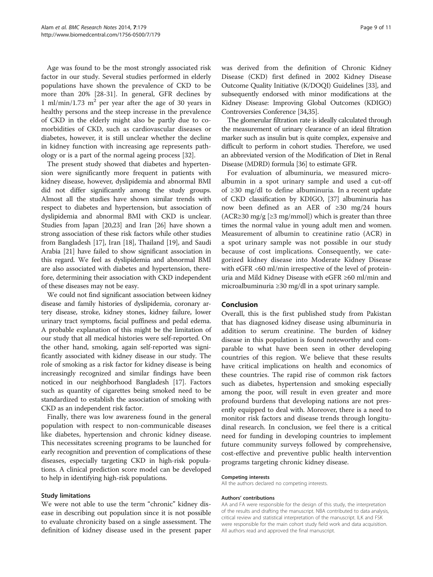Age was found to be the most strongly associated risk factor in our study. Several studies performed in elderly populations have shown the prevalence of CKD to be more than 20% [[28-31](#page-9-0)]. In general, GFR declines by 1 ml/min/1.73 m<sup>2</sup> per year after the age of 30 years in healthy persons and the steep increase in the prevalence of CKD in the elderly might also be partly due to comorbidities of CKD, such as cardiovascular diseases or diabetes, however, it is still unclear whether the decline in kidney function with increasing age represents pathology or is a part of the normal ageing process [[32\]](#page-9-0).

The present study showed that diabetes and hypertension were significantly more frequent in patients with kidney disease, however, dyslipidemia and abnormal BMI did not differ significantly among the study groups. Almost all the studies have shown similar trends with respect to diabetes and hypertension, but association of dyslipidemia and abnormal BMI with CKD is unclear. Studies from Japan [[20,23\]](#page-9-0) and Iran [[26](#page-9-0)] have shown a strong association of these risk factors while other studies from Bangladesh [\[17\]](#page-9-0), Iran [\[18\]](#page-9-0), Thailand [\[19\]](#page-9-0), and Saudi Arabia [\[21\]](#page-9-0) have failed to show significant association in this regard. We feel as dyslipidemia and abnormal BMI are also associated with diabetes and hypertension, therefore, determining their association with CKD independent of these diseases may not be easy.

We could not find significant association between kidney disease and family histories of dyslipidemia, coronary artery disease, stroke, kidney stones, kidney failure, lower urinary tract symptoms, facial puffiness and pedal edema. A probable explanation of this might be the limitation of our study that all medical histories were self-reported. On the other hand, smoking, again self-reported was significantly associated with kidney disease in our study. The role of smoking as a risk factor for kidney disease is being increasingly recognized and similar findings have been noticed in our neighborhood Bangladesh [\[17\]](#page-9-0). Factors such as quantity of cigarettes being smoked need to be standardized to establish the association of smoking with CKD as an independent risk factor.

Finally, there was low awareness found in the general population with respect to non-communicable diseases like diabetes, hypertension and chronic kidney disease. This necessitates screening programs to be launched for early recognition and prevention of complications of these diseases, especially targeting CKD in high-risk populations. A clinical prediction score model can be developed to help in identifying high-risk populations.

#### Study limitations

We were not able to use the term "chronic" kidney disease in describing out population since it is not possible to evaluate chronicity based on a single assessment. The definition of kidney disease used in the present paper was derived from the definition of Chronic Kidney Disease (CKD) first defined in 2002 Kidney Disease Outcome Quality Initiative (K/DOQI) Guidelines [\[33\]](#page-9-0), and subsequently endorsed with minor modifications at the Kidney Disease: Improving Global Outcomes (KDIGO) Controversies Conference [[34,35\]](#page-9-0).

The glomerular filtration rate is ideally calculated through the measurement of urinary clearance of an ideal filtration marker such as insulin but is quite complex, expensive and difficult to perform in cohort studies. Therefore, we used an abbreviated version of the Modification of Diet in Renal Disease (MDRD) formula [\[36\]](#page-10-0) to estimate GFR.

For evaluation of albuminuria, we measured microalbumin in a spot urinary sample and used a cut-off of ≥30 mg/dl to define albuminuria. In a recent update of CKD classification by KDIGO, [\[37\]](#page-10-0) albuminuria has now been defined as an AER of ≥30 mg/24 hours (ACR≥30 mg/g [≥3 mg/mmol]) which is greater than three times the normal value in young adult men and women. Measurement of albumin to creatinine ratio (ACR) in a spot urinary sample was not possible in our study because of cost implications. Consequently, we categorized kidney disease into Moderate Kidney Disease with eGFR <60 ml/min irrespective of the level of proteinuria and Mild Kidney Disease with eGFR ≥60 ml/min and microalbuminuria ≥30 mg/dl in a spot urinary sample.

# Conclusion

Overall, this is the first published study from Pakistan that has diagnosed kidney disease using albuminuria in addition to serum creatinine. The burden of kidney disease in this population is found noteworthy and comparable to what have been seen in other developing countries of this region. We believe that these results have critical implications on health and economics of these countries. The rapid rise of common risk factors such as diabetes, hypertension and smoking especially among the poor, will result in even greater and more profound burdens that developing nations are not presently equipped to deal with. Moreover, there is a need to monitor risk factors and disease trends through longitudinal research. In conclusion, we feel there is a critical need for funding in developing countries to implement future community surveys followed by comprehensive, cost-effective and preventive public health intervention programs targeting chronic kidney disease.

#### Competing interests

All the authors declared no competing interests.

#### Authors' contributions

AA and FA were responsible for the design of this study, the interpretation of the results and drafting the manuscript. NBA contributed to data analysis, critical review and statistical interpretation of the manuscript. ILK and FSK were responsible for the main cohort study field work and data acquisition. All authors read and approved the final manuscript.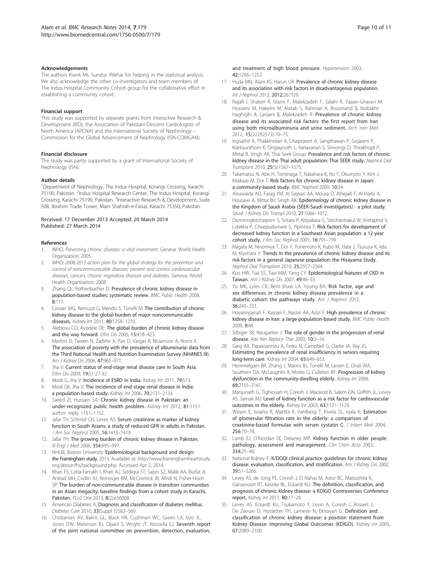#### <span id="page-9-0"></span>Acknowledgements

The authors thank Ms. Sundus Iftikhar for helping in the statistical analysis. We also acknowledge the other co-investigators and team members of The Indus Hospital Community Cohort group for the collaborative effort in establishing a community cohort.

#### Financial support

This study was supported by separate grants from Interactive Research & Development (IRD), the Association of Pakistani-Descent Cardiologists of North America (APCNA) and the International Society of Nephrology – Commission for the Global Advancement of Nephrology (ISN-COMGAN).

#### Financial disclosure

The study was partly supported by a grant of International Society of Nephrology (ISN).

#### Author details

<sup>1</sup>Department of Nephrology, The Indus Hospital, Korangi Crossing, Karachi 75190, Pakistan. <sup>2</sup>Indus Hospital Research Center, The Indus Hospital, Korangi Crossing, Karachi 75190, Pakistan. <sup>3</sup>Interactive Research & Development, Suite 508, Ibrahim Trade Tower, Main Shahrah-e-Faisal, Karachi 75350, Pakistan.

#### Received: 17 December 2013 Accepted: 20 March 2014 Published: 27 March 2014

#### References

- WHO: Preventing chronic diseases: a vital investment. Geneva: World Health Organization; 2005.
- 2. WHO: 2008-2013 action plan for the global strategy for the prevention and control of noncommunicable diseases: prevent and control cardiovascular diseases, cancers, chronic respiratory diseases and diabetes. Geneva: World Health Organization; 2008.
- Zhang QL, Rothenbacher D: Prevalence of chronic kidney disease in population-based studies: systematic review. BMC Public Health 2008, 8:117.
- 4. Couser WG, Remuzzi G, Mendis S, Tonelli M: The contribution of chronic kidney disease to the global burden of major noncommunicable diseases. Kidney Int 2011, 80:1258–1270.
- Alebiosu CO, Ayodele OE: The global burden of chronic kidney disease and the way forward. Ethn Dis 2005, 15:418–423.
- 6. Martins D, Tareen N, Zadshir A, Pan D, Vargas R, Nissenson A, Norris K: The association of poverty with the prevalence of albuminuria: data from the Third National Health and Nutrition Examination Survey (NHANES III). Am J Kidney Dis 2006, 47:965–971.
- 7. Jha V: Current status of end-stage renal disease care in South Asia. Ethn Dis 2009, 19:S1-27-32.
- Modi G, Jha V: Incidence of ESRD in India. Kidney Int 2011, 79:573.
- Modi GK, Jha V: The incidence of end-stage renal disease in India: a population-based study. Kidney Int 2006, 70:2131–2133.
- 10. Saeed ZI, Hussain SA: Chronic kidney disease in Pakistan: an under-recognized public health problem. Kidney Int 2012, 81:1151. author reply 1151–1152.
- 11. Jafar TH, Schmid CH, Levey AS: Serum creatinine as marker of kidney function in South Asians: a study of reduced GFR in adults in Pakistan. J Am Soc Nephrol 2005, 16:1413–1419.
- 12. Jafar TH: The growing burden of chronic kidney disease in Pakistan. N Engl J Med 2006, 354:995–997.
- 13. NHLBI, Boston University: Epidemiological background and design: the Framingham study. 2013. Available at: [http://www.framinghamheartstudy.](http://www.framinghamheartstudy.org/about-fhs/background.php) [org/about-fhs/background.php](http://www.framinghamheartstudy.org/about-fhs/background.php). Accessed Apr 2, 2014.
- 14. Khan FS, Lotia-Farrukh I, Khan AJ, Siddiqui ST, Sajun SZ, Malik AA, Burfat A, Arshad MH, Codlin AJ, Reininger BM, McCormick JB, Afridi N, Fisher-Hoch SP: The burden of non-communicable disease in transition communities in an Asian megacity: baseline findings from a cohort study in Karachi, Pakistan. PLoS One 2013, 8(2):e56008.
- 15. American Diabetes A: Diagnosis and classification of diabetes mellitus. Diabetes Care 2010, 33(Suppl 1):S62–S69.
- 16. Chobanian AV, Bakris GL, Black HR, Cushman WC, Green LA, Izzo JL, Jones DW, Materson BJ, Oparil S, Wright JT, Roccella EJ: Seventh report of the joint national committee on prevention, detection, evaluation,

and treatment of high blood pressure. Hypertension 2003, 42:1206–1252.

- 17. Huda MN, Alam KS, Harun UR: Prevalence of chronic kidney disease and its association with risk factors in disadvantageous population. Int J Nephrol 2012, 2012:267329.
- 18. Najafi I, Shakeri R, Islami F, Malekzadeh F, Salahi R, Yapan-Gharavi M, Hosseini M, Hakemi M, Alatab S, Rahmati A, Broumand B, Nobakht-Haghighi A, Larijani B, Malekzadeh R: Prevalence of chronic kidney disease and its associated risk factors: the first report from Iran using both microalbuminuria and urine sediment. Arch Iran Med 2012, 15(22292573):70–75.
- 19. Ingsathit A, Thakkinstian A, Chaiprasert A, Sangthawan P, Gojaseni P, Kiattisunthorn K, Ongaiyooth L, Vanavanan S, Sirivongs D, Thirakhupt P, Mittal B, Singh AK, Thai Seek Group: Prevalence and risk factors of chronic kidney disease in the Thai adult population: Thai SEEK study. Nephrol Dial Transplant 2010, 25(5):1567–1575.
- 20. Takamatsu N, Abe H, Tominaga T, Nakahara K, Ito Y, Okumoto Y, Kim J, Kitakaze M, Doi T: Risk factors for chronic kidney disease in Japan: a community-based study. BMC Nephrol 2009, 10:34.
- 21. Alsuwaida AO, Farag YM, Al Sayyari AA, Mousa D, Alhejaili F, Al-Harbi A, Housawi A, Mittal BV, Singh AK: Epidemiology of chronic kidney disease in the Kingdom of Saudi Arabia (SEEK-Saudi investigators) - a pilot study. Saudi J Kidney Dis Transpl 2010, 21:1066–1072.
- 22. Domrongkitchaiporn S, Sritara P, Kitiyakara C, Stitchantrakul W, Krittaphol V, Lolekha P, Cheepudomwit S, Yipintsoi T: Risk factors for development of decreased kidney function in a Southeast Asian population: a 12-year cohort study. J Am Soc Nephrol 2005, 16:791-799.
- 23. Nagata M, Ninomiya T, Doi Y, Yonemoto K, Kubo M, Hata J, Tsuruya K, Iida M, Kiyohara Y: Trends in the prevalence of chronic kidney disease and its risk factors in a general Japanese population: the Hisayama Study. Nephrol Dial Transplant 2010, 25:2557–2564.
- 24. Kuo HW, Tsai SS, Tiao MM, Yang CY: Epidemiological features of CKD in Taiwan. Am J Kidney Dis 2007, 49:46–55.
- 25. Yu MK, Lyles CR, Bent-Shaw LA, Young BA: Risk factor, age and sex differences in chronic kidney disease prevalence in a diabetic cohort: the pathways study. Am J Nephrol 2012, 36:245–251.
- 26. Hosseinpanah F, Kasraei F, Nassiri AA, Azizi F: High prevalence of chronic kidney disease in Iran: a large population-based study. BMC Public Health 2009, 9:44.
- 27. Silbiger SR, Neugarten J: The role of gender in the progression of renal disease. Adv Ren Replace Ther 2003, 10:3–14.
- 28. Garg AX, Papaioannou A, Ferko N, Campbell G, Clarke JA, Ray JG: Estimating the prevalence of renal insufficiency in seniors requiring long-term care. Kidney Int 2004, 65:649–653.
- 29. Hemmelgarn BR, Zhang J, Manns BJ, Tonelli M, Larsen E, Ghali WA, Southern DA, McLaughlin K, Mortis G, Culleton BF: Progression of kidney dysfunction in the community-dwelling elderly. Kidney Int 2006, 69:2155–2161.
- 30. Manjunath G, Tighiouart H, Coresh J, Macleod B, Salem DN, Griffith JL, Levey AS, Sarnak MJ: Level of kidney function as a risk factor for cardiovascular outcomes in the elderly. Kidney Int 2003, 63:1121–1129.
- 31. Wasen E, Isoaho R, Mattila K, Vahlberg T, Kivela SL, Irjala K: Estimation of glomerular filtration rate in the elderly: a comparison of creatinine-based formulae with serum cystatin C. J Intern Med 2004, 256:70–78.
- 32. Lamb EJ, O'Riordan SE, Delaney MP: Kidney function in older people: pathology, assessment and management. Clin Chim Acta 2003, 334:25–40.
- 33. National Kidney F: K/DOQI clinical practice guidelines for chronic kidney disease: evaluation, classification, and stratification. Am J Kidney Dis 2002, 39:S1–S266.
- 34. Levey AS, de Jong PE, Coresh J, El Nahas M, Astor BC, Matsushita K, Gansevoort RT, Kasiske BL, Eckardt KU: The definition, classification, and prognosis of chronic kidney disease: a KDIGO Controversies Conference report. Kidney Int 2011, 80:17–28.
- 35. Levey AS, Eckardt KU, Tsukamoto Y, Levin A, Coresh J, Rossert J, De Zeeuw D, Hostetter TH, Lameire N, Eknoyan G: Definition and classification of chronic kidney disease: a position statement from Kidney Disease: Improving Global Outcomes (KDIGO). Kidney Int 2005, 67:2089–2100.